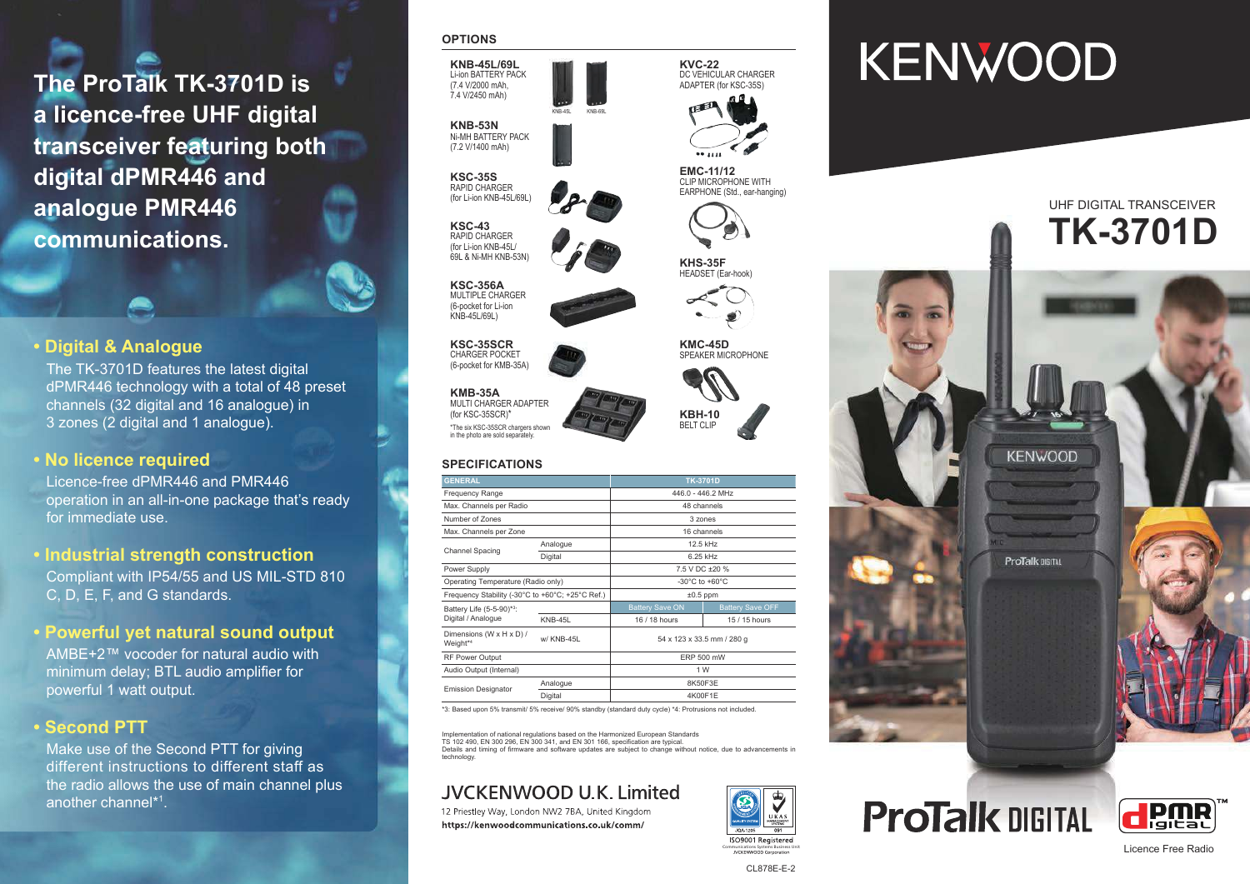**The ProTalk TK-3701D is a licence-free UHF digital transceiver featuring both digital dPMR446 and analogue PMR446 communications.**

# **• Digital & Analogue**

The TK-3701D features the latest digital dPMR446 technology with a total of 48 preset channels (32 digital and 16 analogue) in 3 zones (2 digital and 1 analogue).

## **• No licence required**

Licence-free dPMR446 and PMR446 operation in an all-in-one package that's ready for immediate use.

**• Industrial strength construction** Compliant with IP54/55 and US MIL-STD 810 C, D, E, F, and G standards.

# **• Powerful yet natural sound output**

AMBE+2™ vocoder for natural audio with minimum delay; BTL audio amplifier for powerful 1 watt output.

# **• Second PTT**

Make use of the Second PTT for giving different instructions to different staff as the radio allows the use of main channel plus another channel\* 1.

#### **OPTIONS**



**KSC-35S** RAPID CHARGER (for Li-ion KNB-45L/69L)

**KSC-43** RAPID CHARGER (for Li-ion KNB-45L/ 69L & Ni-MH KNB-53N)

**KSC-356A** MULTIPLE CHARGER (6-pocket for Li-ion KNB-45L/69L)

**KSC-35SCR** CHARGER POCKET (6-pocket for KMB-35A)

**KMB-35A** MULTI CHARGER ADAPTER (for KSC-35SCR) \* \*The six KSC-35SCR chargers shown in the photo are sold separately.

### **SPECIFICATIONS**

| <b>GENERAL</b>                                   |                | <b>TK-3701D</b>                      |                         |
|--------------------------------------------------|----------------|--------------------------------------|-------------------------|
| <b>Frequency Range</b>                           |                | 446.0 - 446.2 MHz                    |                         |
| Max. Channels per Radio                          |                | 48 channels                          |                         |
| Number of Zones                                  |                | 3 zones                              |                         |
| Max. Channels per Zone                           |                | 16 channels                          |                         |
| <b>Channel Spacing</b>                           | Analogue       | 12.5 kHz                             |                         |
|                                                  | Digital        | 6.25 kHz                             |                         |
| Power Supply                                     |                | 7.5 V DC ±20 %                       |                         |
| Operating Temperature (Radio only)               |                | -30 $^{\circ}$ C to +60 $^{\circ}$ C |                         |
| Frequency Stability (-30°C to +60°C; +25°C Ref.) |                | $±0.5$ ppm                           |                         |
| Battery Life (5-5-90)*3:<br>Digital / Analogue   |                | <b>Battery Save ON</b>               | <b>Battery Save OFF</b> |
|                                                  | <b>KNB-45L</b> | 16 / 18 hours                        | 15 / 15 hours           |
| Dimensions (W x H x D) /<br>Weight* <sup>4</sup> | w/ KNB-45L     | 54 x 123 x 33.5 mm / 280 g           |                         |
| RF Power Output                                  |                | <b>ERP 500 mW</b>                    |                         |
| Audio Output (Internal)                          |                | 1 W                                  |                         |
| <b>Emission Designator</b>                       | Analogue       | 8K50F3E                              |                         |
|                                                  | Digital        | 4K00F1E                              |                         |

\*3: Based upon 5% transmit/ 5% receive/ 90% standby (standard duty cycle) \* 4: Protrusions not included.

Implementation of national regulations based on the Harmonized European Standards TS 102 490, EN 300 296, EN 300 341, and EN 301 166, specification are typical. Details and timing of firmware and software updates are subject to change without notice, due to advancements in technology.

# JVCKENWOOD U.K. Limited

12 Priestley Way, London NW2 7BA, United Kingdom https://kenwoodcommunications.co.uk/comm/



# **KENWOOD**



**KVC-22** DC VEHICULAR CHARGER ADAPTER (for KSC-35S)

**EMC-11/12** CLIP MICROPHONE WITH EARPHONE (Std., ear-hanging)



**KHS-35F** HEADSET (Ear-hook)

**KMC-45D** SPEAKER MICROPHONE













Licence Free Radio